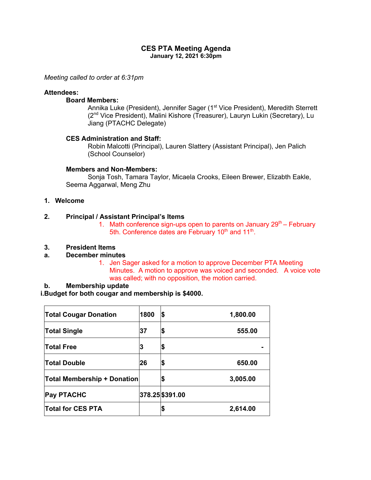## **CES PTA Meeting Agenda January 12, 2021 6:30pm**

*Meeting called to order at 6:31pm*

### **Attendees:**

### **Board Members:**

Annika Luke (President), Jennifer Sager (1<sup>st</sup> Vice President), Meredith Sterrett (2nd Vice President), Malini Kishore (Treasurer), Lauryn Lukin (Secretary), Lu Jiang (PTACHC Delegate)

### **CES Administration and Staff:**

Robin Malcotti (Principal), Lauren Slattery (Assistant Principal), Jen Palich (School Counselor)

### **Members and Non-Members:**

Sonja Tosh, Tamara Taylor, Micaela Crooks, Eileen Brewer, Elizabth Eakle, Seema Aggarwal, Meng Zhu

## **1. Welcome**

## **2. Principal / Assistant Principal's Items**

1. Math conference sign-ups open to parents on January  $29<sup>th</sup>$  – February 5th. Conference dates are February 10<sup>th</sup> and 11<sup>th</sup>.

## **3. President Items**

## **a. December minutes**

1. Jen Sager asked for a motion to approve December PTA Meeting Minutes. A motion to approve was voiced and seconded. A voice vote was called; with no opposition, the motion carried.

#### **b. Membership update**

## **i.Budget for both cougar and membership is \$4000.**

| <b>Total Cougar Donation</b>       | 1800 | S               | 1,800.00 |
|------------------------------------|------|-----------------|----------|
| <b>Total Single</b>                | 37   | \$              | 555.00   |
| <b>Total Free</b>                  | 3    | \$              |          |
| <b>Total Double</b>                | 26   | \$              | 650.00   |
| <b>Total Membership + Donation</b> |      | \$              | 3,005.00 |
| <b>Pay PTACHC</b>                  |      | 378.25 \$391.00 |          |
| <b>Total for CES PTA</b>           |      | \$              | 2,614.00 |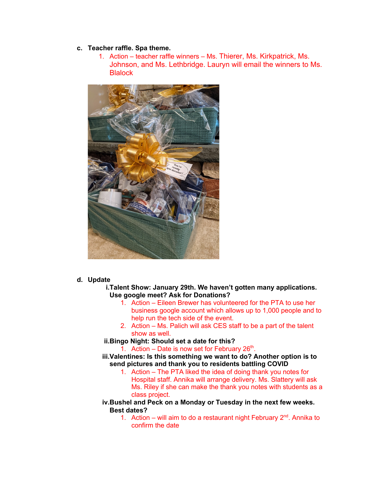# **c. Teacher raffle. Spa theme.**

1. Action – teacher raffle winners – Ms. Thierer, Ms. Kirkpatrick, Ms. Johnson, and Ms. Lethbridge. Lauryn will email the winners to Ms. **Blalock** 



## **d. Update**

**i.Talent Show: January 29th. We haven't gotten many applications. Use google meet? Ask for Donations?**

- 1. Action Eileen Brewer has volunteered for the PTA to use her business google account which allows up to 1,000 people and to help run the tech side of the event.
- 2. Action Ms. Palich will ask CES staff to be a part of the talent show as well.
- **ii.Bingo Night: Should set a date for this?**

1. Action – Date is now set for February  $26<sup>th</sup>$ .

- **iii.Valentines: Is this something we want to do? Another option is to send pictures and thank you to residents battling COVID**
	- 1. Action The PTA liked the idea of doing thank you notes for Hospital staff. Annika will arrange delivery. Ms. Slattery will ask Ms. Riley if she can make the thank you notes with students as a class project.
- **iv.Bushel and Peck on a Monday or Tuesday in the next few weeks. Best dates?**
	- 1. Action will aim to do a restaurant night February  $2<sup>nd</sup>$ . Annika to confirm the date